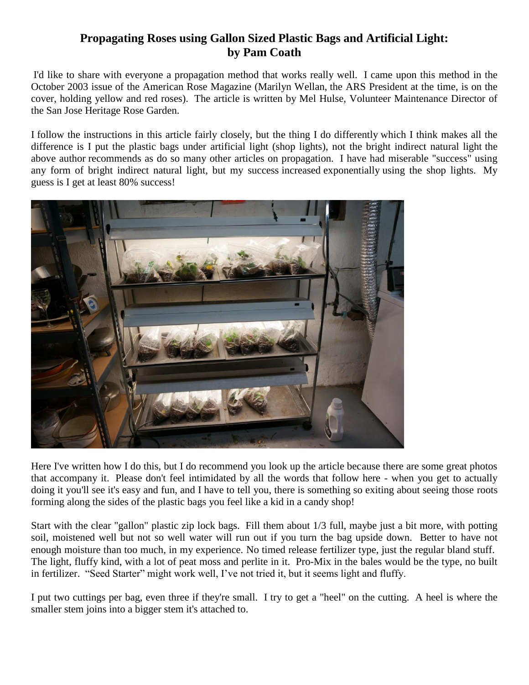## **Propagating Roses using Gallon Sized Plastic Bags and Artificial Light: by Pam Coath**

I'd like to share with everyone a propagation method that works really well. I came upon this method in the October 2003 issue of the American Rose Magazine (Marilyn Wellan, the ARS President at the time, is on the cover, holding yellow and red roses). The article is written by Mel Hulse, Volunteer Maintenance Director of the San Jose Heritage Rose Garden.

I follow the instructions in this article fairly closely, but the thing I do differently which I think makes all the difference is I put the plastic bags under artificial light (shop lights), not the bright indirect natural light the above author recommends as do so many other articles on propagation. I have had miserable "success" using any form of bright indirect natural light, but my success increased exponentially using the shop lights. My guess is I get at least 80% success!



Here I've written how I do this, but I do recommend you look up the article because there are some great photos that accompany it. Please don't feel intimidated by all the words that follow here - when you get to actually doing it you'll see it's easy and fun, and I have to tell you, there is something so exiting about seeing those roots forming along the sides of the plastic bags you feel like a kid in a candy shop!

Start with the clear "gallon" plastic zip lock bags. Fill them about 1/3 full, maybe just a bit more, with potting soil, moistened well but not so well water will run out if you turn the bag upside down. Better to have not enough moisture than too much, in my experience. No timed release fertilizer type, just the regular bland stuff. The light, fluffy kind, with a lot of peat moss and perlite in it. Pro-Mix in the bales would be the type, no built in fertilizer. "Seed Starter" might work well, I've not tried it, but it seems light and fluffy.

I put two cuttings per bag, even three if they're small. I try to get a "heel" on the cutting. A heel is where the smaller stem joins into a bigger stem it's attached to.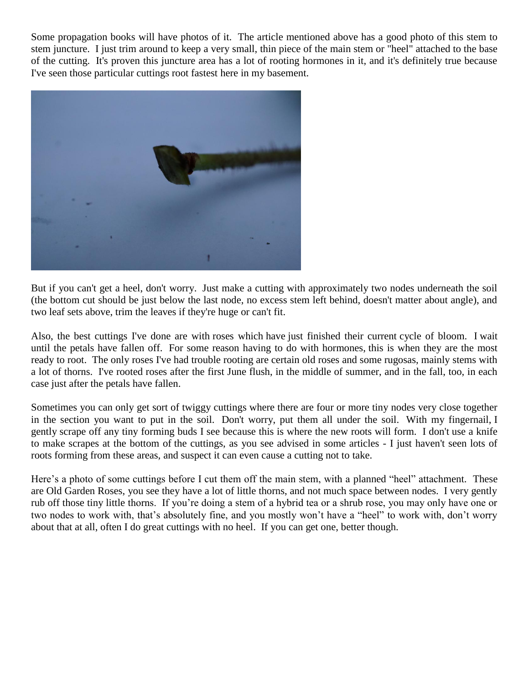Some propagation books will have photos of it. The article mentioned above has a good photo of this stem to stem juncture. I just trim around to keep a very small, thin piece of the main stem or "heel" attached to the base of the cutting. It's proven this juncture area has a lot of rooting hormones in it, and it's definitely true because I've seen those particular cuttings root fastest here in my basement.



But if you can't get a heel, don't worry. Just make a cutting with approximately two nodes underneath the soil (the bottom cut should be just below the last node, no excess stem left behind, doesn't matter about angle), and two leaf sets above, trim the leaves if they're huge or can't fit.

Also, the best cuttings I've done are with roses which have just finished their current cycle of bloom. I wait until the petals have fallen off. For some reason having to do with hormones, this is when they are the most ready to root. The only roses I've had trouble rooting are certain old roses and some rugosas, mainly stems with a lot of thorns. I've rooted roses after the first June flush, in the middle of summer, and in the fall, too, in each case just after the petals have fallen.

Sometimes you can only get sort of twiggy cuttings where there are four or more tiny nodes very close together in the section you want to put in the soil. Don't worry, put them all under the soil. With my fingernail, I gently scrape off any tiny forming buds I see because this is where the new roots will form. I don't use a knife to make scrapes at the bottom of the cuttings, as you see advised in some articles - I just haven't seen lots of roots forming from these areas, and suspect it can even cause a cutting not to take.

Here's a photo of some cuttings before I cut them off the main stem, with a planned "heel" attachment. These are Old Garden Roses, you see they have a lot of little thorns, and not much space between nodes. I very gently rub off those tiny little thorns. If you're doing a stem of a hybrid tea or a shrub rose, you may only have one or two nodes to work with, that's absolutely fine, and you mostly won't have a "heel" to work with, don't worry about that at all, often I do great cuttings with no heel. If you can get one, better though.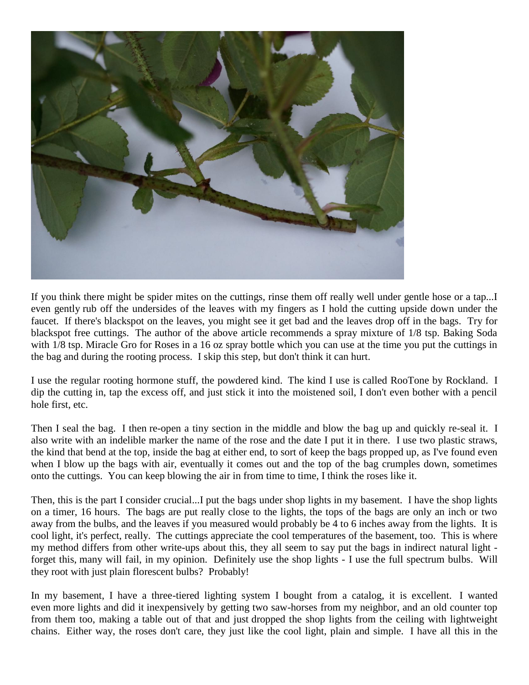

If you think there might be spider mites on the cuttings, rinse them off really well under gentle hose or a tap...I even gently rub off the undersides of the leaves with my fingers as I hold the cutting upside down under the faucet. If there's blackspot on the leaves, you might see it get bad and the leaves drop off in the bags. Try for blackspot free cuttings. The author of the above article recommends a spray mixture of 1/8 tsp. Baking Soda with  $1/8$  tsp. Miracle Gro for Roses in a 16 oz spray bottle which you can use at the time you put the cuttings in the bag and during the rooting process. I skip this step, but don't think it can hurt.

I use the regular rooting hormone stuff, the powdered kind. The kind I use is called RooTone by Rockland. I dip the cutting in, tap the excess off, and just stick it into the moistened soil, I don't even bother with a pencil hole first, etc.

Then I seal the bag. I then re-open a tiny section in the middle and blow the bag up and quickly re-seal it. I also write with an indelible marker the name of the rose and the date I put it in there. I use two plastic straws, the kind that bend at the top, inside the bag at either end, to sort of keep the bags propped up, as I've found even when I blow up the bags with air, eventually it comes out and the top of the bag crumples down, sometimes onto the cuttings. You can keep blowing the air in from time to time, I think the roses like it.

Then, this is the part I consider crucial...I put the bags under shop lights in my basement. I have the shop lights on a timer, 16 hours. The bags are put really close to the lights, the tops of the bags are only an inch or two away from the bulbs, and the leaves if you measured would probably be 4 to 6 inches away from the lights. It is cool light, it's perfect, really. The cuttings appreciate the cool temperatures of the basement, too. This is where my method differs from other write-ups about this, they all seem to say put the bags in indirect natural light forget this, many will fail, in my opinion. Definitely use the shop lights - I use the full spectrum bulbs. Will they root with just plain florescent bulbs? Probably!

In my basement, I have a three-tiered lighting system I bought from a catalog, it is excellent. I wanted even more lights and did it inexpensively by getting two saw-horses from my neighbor, and an old counter top from them too, making a table out of that and just dropped the shop lights from the ceiling with lightweight chains. Either way, the roses don't care, they just like the cool light, plain and simple. I have all this in the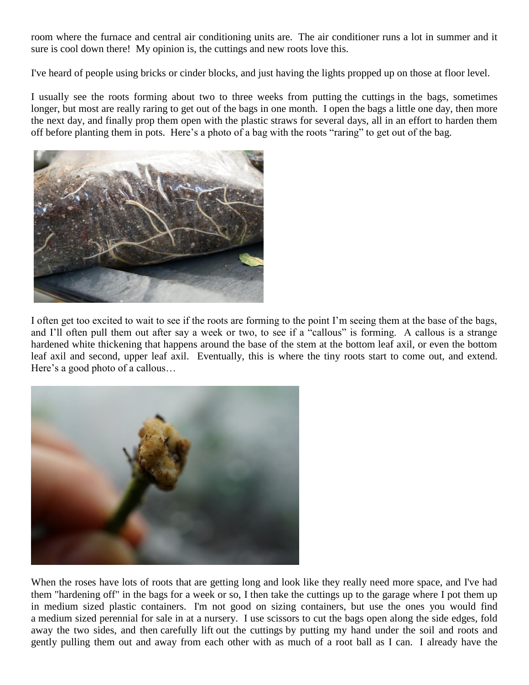room where the furnace and central air conditioning units are. The air conditioner runs a lot in summer and it sure is cool down there! My opinion is, the cuttings and new roots love this.

I've heard of people using bricks or cinder blocks, and just having the lights propped up on those at floor level.

I usually see the roots forming about two to three weeks from putting the cuttings in the bags, sometimes longer, but most are really raring to get out of the bags in one month. I open the bags a little one day, then more the next day, and finally prop them open with the plastic straws for several days, all in an effort to harden them off before planting them in pots. Here's a photo of a bag with the roots "raring" to get out of the bag.



I often get too excited to wait to see if the roots are forming to the point I'm seeing them at the base of the bags, and I'll often pull them out after say a week or two, to see if a "callous" is forming. A callous is a strange hardened white thickening that happens around the base of the stem at the bottom leaf axil, or even the bottom leaf axil and second, upper leaf axil. Eventually, this is where the tiny roots start to come out, and extend. Here's a good photo of a callous…



When the roses have lots of roots that are getting long and look like they really need more space, and I've had them "hardening off" in the bags for a week or so, I then take the cuttings up to the garage where I pot them up in medium sized plastic containers. I'm not good on sizing containers, but use the ones you would find a medium sized perennial for sale in at a nursery. I use scissors to cut the bags open along the side edges, fold away the two sides, and then carefully lift out the cuttings by putting my hand under the soil and roots and gently pulling them out and away from each other with as much of a root ball as I can. I already have the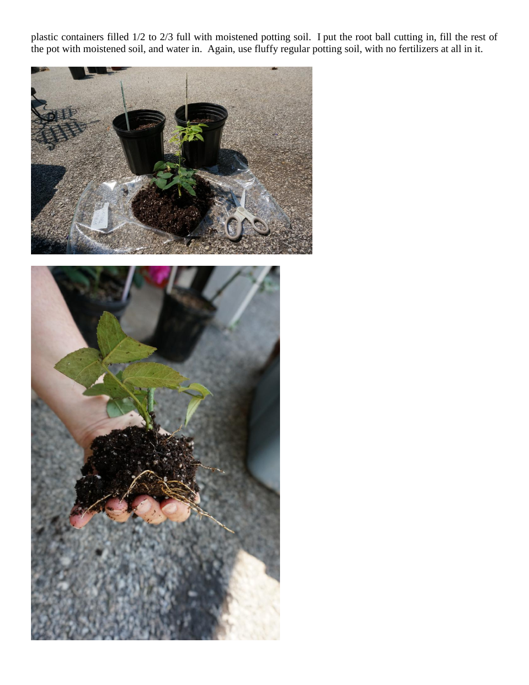plastic containers filled 1/2 to 2/3 full with moistened potting soil. I put the root ball cutting in, fill the rest of the pot with moistened soil, and water in. Again, use fluffy regular potting soil, with no fertilizers at all in it.



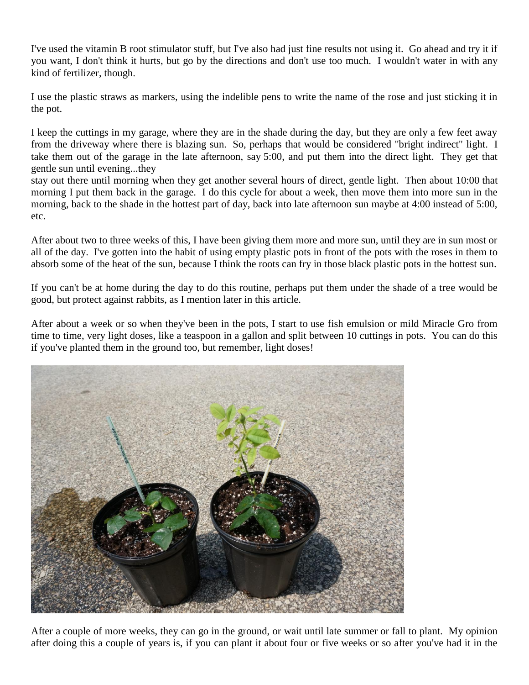I've used the vitamin B root stimulator stuff, but I've also had just fine results not using it. Go ahead and try it if you want, I don't think it hurts, but go by the directions and don't use too much. I wouldn't water in with any kind of fertilizer, though.

I use the plastic straws as markers, using the indelible pens to write the name of the rose and just sticking it in the pot.

I keep the cuttings in my garage, where they are in the shade during the day, but they are only a few feet away from the driveway where there is blazing sun. So, perhaps that would be considered "bright indirect" light. I take them out of the garage in the late afternoon, say 5:00, and put them into the direct light. They get that gentle sun until evening...they

stay out there until morning when they get another several hours of direct, gentle light. Then about 10:00 that morning I put them back in the garage. I do this cycle for about a week, then move them into more sun in the morning, back to the shade in the hottest part of day, back into late afternoon sun maybe at 4:00 instead of 5:00, etc.

After about two to three weeks of this, I have been giving them more and more sun, until they are in sun most or all of the day. I've gotten into the habit of using empty plastic pots in front of the pots with the roses in them to absorb some of the heat of the sun, because I think the roots can fry in those black plastic pots in the hottest sun.

If you can't be at home during the day to do this routine, perhaps put them under the shade of a tree would be good, but protect against rabbits, as I mention later in this article.

After about a week or so when they've been in the pots, I start to use fish emulsion or mild Miracle Gro from time to time, very light doses, like a teaspoon in a gallon and split between 10 cuttings in pots. You can do this if you've planted them in the ground too, but remember, light doses!



After a couple of more weeks, they can go in the ground, or wait until late summer or fall to plant. My opinion after doing this a couple of years is, if you can plant it about four or five weeks or so after you've had it in the